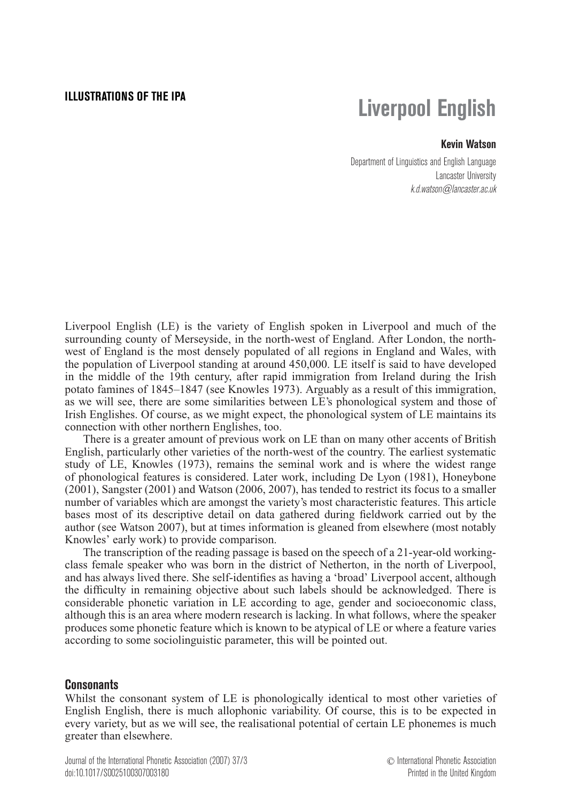# **ILLUSTRATIONS OF THE IPA Liverpool English**

## **Kevin Watson**

Department of Linguistics and English Language Lancaster University k.d.watson@lancaster.ac.uk

Liverpool English (LE) is the variety of English spoken in Liverpool and much of the surrounding county of Merseyside, in the north-west of England. After London, the northwest of England is the most densely populated of all regions in England and Wales, with the population of Liverpool standing at around 450,000. LE itself is said to have developed in the middle of the 19th century, after rapid immigration from Ireland during the Irish potato famines of 1845–1847 (see Knowles 1973). Arguably as a result of this immigration, as we will see, there are some similarities between LE's phonological system and those of Irish Englishes. Of course, as we might expect, the phonological system of LE maintains its connection with other northern Englishes, too.

There is a greater amount of previous work on LE than on many other accents of British English, particularly other varieties of the north-west of the country. The earliest systematic study of LE, Knowles (1973), remains the seminal work and is where the widest range of phonological features is considered. Later work, including De Lyon (1981), Honeybone (2001), Sangster (2001) and Watson (2006, 2007), has tended to restrict its focus to a smaller number of variables which are amongst the variety's most characteristic features. This article bases most of its descriptive detail on data gathered during fieldwork carried out by the author (see Watson 2007), but at times information is gleaned from elsewhere (most notably Knowles' early work) to provide comparison.

The transcription of the reading passage is based on the speech of a 21-year-old workingclass female speaker who was born in the district of Netherton, in the north of Liverpool, and has always lived there. She self-identifies as having a 'broad' Liverpool accent, although the difficulty in remaining objective about such labels should be acknowledged. There is considerable phonetic variation in LE according to age, gender and socioeconomic class, although this is an area where modern research is lacking. In what follows, where the speaker produces some phonetic feature which is known to be atypical of LE or where a feature varies according to some sociolinguistic parameter, this will be pointed out.

### **Consonants**

Whilst the consonant system of LE is phonologically identical to most other varieties of English English, there is much allophonic variability. Of course, this is to be expected in every variety, but as we will see, the realisational potential of certain LE phonemes is much greater than elsewhere.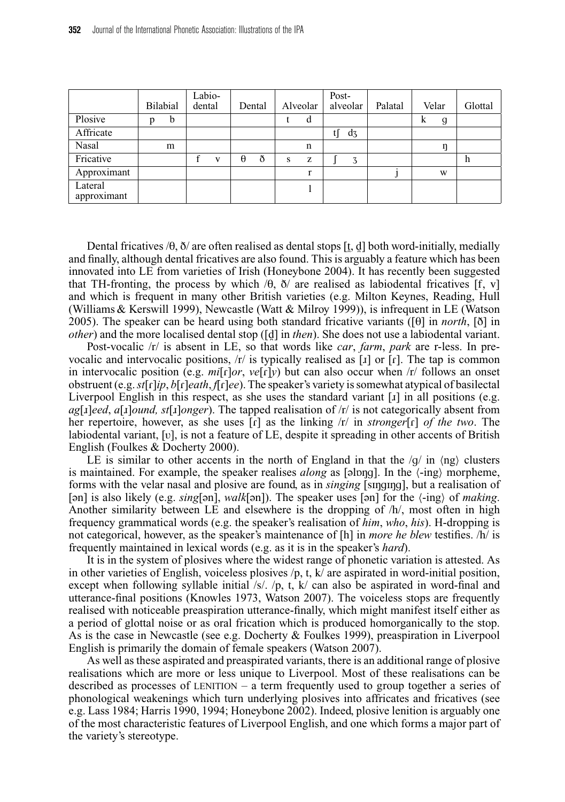|                        |   |          | Labio- |   |          |        |   |          | Post- |          |         |       |   |         |
|------------------------|---|----------|--------|---|----------|--------|---|----------|-------|----------|---------|-------|---|---------|
|                        |   | Bilabial | dental |   |          | Dental |   | Alveolar |       | alveolar | Palatal | Velar |   | Glottal |
| Plosive                | р | b        |        |   |          |        |   | d        |       |          |         | k     | g |         |
| Affricate              |   |          |        |   |          |        |   |          | tſ    | $d_3$    |         |       |   |         |
| Nasal                  |   | m        |        |   |          |        |   | n        |       |          |         |       | η |         |
| Fricative              |   |          |        | V | $\theta$ | ð      | S | z        |       | 3        |         |       |   | h       |
| Approximant            |   |          |        |   |          |        |   | r        |       |          |         |       | W |         |
| Lateral<br>approximant |   |          |        |   |          |        |   |          |       |          |         |       |   |         |

Dental fricatives / $\theta$ ,  $\delta$ / are often realised as dental stops [t, d] both word-initially, medially and finally, although dental fricatives are also found. This is arguably a feature which has been innovated into LE from varieties of Irish (Honeybone 2004). It has recently been suggested that TH-fronting, the process by which  $\langle \theta, \delta \rangle$  are realised as labiodental fricatives [f, v] and which is frequent in many other British varieties (e.g. Milton Keynes, Reading, Hull (Williams & Kerswill 1999), Newcastle (Watt & Milroy 1999)), is infrequent in LE (Watson 2005). The speaker can be heard using both standard fricative variants ( $[0]$  in *north*,  $[0]$  in *other*) and the more localised dental stop ([d] in *then*). She does not use a labiodental variant.

Post-vocalic /r/ is absent in LE, so that words like *car*, *farm*, *park* are r-less. In prevocalic and intervocalic positions,  $\langle r \rangle$  is typically realised as [x] or [x]. The tap is common in intervocalic position (e.g.  $mi[\Gamma]\sigma r$ ,  $v\in[\Gamma]v$ ) but can also occur when  $\pi$  follows an onset obstruent (e.g.*st*[|]*ip*, *b*[|]*eath*, *f*[|]*ee*). The speaker's variety is somewhat atypical of basilectal Liverpool English in this respect, as she uses the standard variant  $[x]$  in all positions (e.g.  $a$ g[ $\lceil$ *a*[ $\lceil$ *a*[ $\lceil$ *a*]*ound, st*[ $\lceil$ *a*]*onger*). The tapped realisation of /r/ is not categorically absent from her repertoire, however, as she uses [i] as the linking  $|r|$  in *stronger*[i] *of the two*. The labiodental variant, [√], is not a feature of LE, despite it spreading in other accents of British English (Foulkes & Docherty 2000).

LE is similar to other accents in the north of England in that the  $/g/$  in  $\langle$ ng $\rangle$  clusters is maintained. For example, the speaker realises *along* as [əlɒŋɡ]. In the  $\langle -ing \rangle$  morpheme, forms with the velar nasal and plosive are found, as in *singing* [smqnng], but a realisation of [an] is also likely (e.g. *sing*[an], *walk*[an]). The speaker uses [an] for the  $\langle$ -ing of *making*. Another similarity between LE and elsewhere is the dropping of /h/, most often in high frequency grammatical words (e.g. the speaker's realisation of *him*, *who*, *his*). H-dropping is not categorical, however, as the speaker's maintenance of [h] in *more he blew* testifies. /h/ is frequently maintained in lexical words (e.g. as it is in the speaker's *hard*).

It is in the system of plosives where the widest range of phonetic variation is attested. As in other varieties of English, voiceless plosives  $/p$ , t,  $k/$  are aspirated in word-initial position, except when following syllable initial  $/s/$ ,  $/p$ ,  $t$ ,  $k/$  can also be aspirated in word-final and utterance-final positions (Knowles 1973, Watson 2007). The voiceless stops are frequently realised with noticeable preaspiration utterance-finally, which might manifest itself either as a period of glottal noise or as oral frication which is produced homorganically to the stop. As is the case in Newcastle (see e.g. Docherty & Foulkes 1999), preaspiration in Liverpool English is primarily the domain of female speakers (Watson 2007).

As well as these aspirated and preaspirated variants, there is an additional range of plosive realisations which are more or less unique to Liverpool. Most of these realisations can be described as processes of LENITION – a term frequently used to group together a series of phonological weakenings which turn underlying plosives into affricates and fricatives (see e.g. Lass 1984; Harris 1990, 1994; Honeybone 2002). Indeed, plosive lenition is arguably one of the most characteristic features of Liverpool English, and one which forms a major part of the variety's stereotype.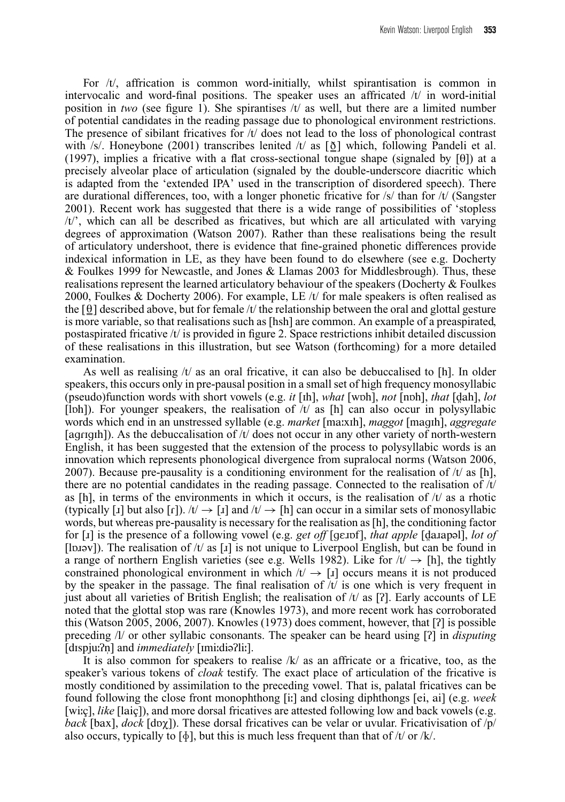For  $/t$ , affrication is common word-initially, whilst spirantisation is common in intervocalic and word-final positions. The speaker uses an affricated /t/ in word-initial position in *two* (see figure 1). She spirantises  $/t$  as well, but there are a limited number of potential candidates in the reading passage due to phonological environment restrictions. The presence of sibilant fricatives for  $/t$  does not lead to the loss of phonological contrast with /s/. Honeybone (2001) transcribes lenited /t/ as  $\lceil \delta \rceil$  which, following Pandeli et al. (1997), implies a fricative with a flat cross-sectional tongue shape (signaled by  $[\theta]$ ) at a precisely alveolar place of articulation (signaled by the double-underscore diacritic which is adapted from the 'extended IPA' used in the transcription of disordered speech). There are durational differences, too, with a longer phonetic fricative for /s/ than for /t/ (Sangster 2001). Recent work has suggested that there is a wide range of possibilities of 'stopless /t/', which can all be described as fricatives, but which are all articulated with varying degrees of approximation (Watson 2007). Rather than these realisations being the result of articulatory undershoot, there is evidence that fine-grained phonetic differences provide indexical information in LE, as they have been found to do elsewhere (see e.g. Docherty & Foulkes 1999 for Newcastle, and Jones & Llamas 2003 for Middlesbrough). Thus, these realisations represent the learned articulatory behaviour of the speakers (Docherty & Foulkes 2000, Foulkes & Docherty 2006). For example, LE /t/ for male speakers is often realised as the  $\lceil \theta \rceil$  described above, but for female /t/ the relationship between the oral and glottal gesture is more variable, so that realisations such as [hsh] are common. An example of a preaspirated, postaspirated fricative  $/t$  is provided in figure 2. Space restrictions inhibit detailed discussion of these realisations in this illustration, but see Watson (forthcoming) for a more detailed examination.

As well as realising  $/t/$  as an oral fricative, it can also be debuccalised to [h]. In older speakers, this occurs only in pre-pausal position in a small set of high frequency monosyllabic (pseudo)function words with short vowels (e.g.  $it$  [ih], *what* [w $bh$ ], *not* [n $bh$ ], *that* [dah], *lot* [lph]). For younger speakers, the realisation of  $/t/$  as [h] can also occur in polysyllabic words which end in an unstressed syllable (e.g. *market* [ma**…**xIh], *maggot* [magIh], *aggregate* [agrigh]). As the debuccalisation of  $/t/$  does not occur in any other variety of north-western English, it has been suggested that the extension of the process to polysyllabic words is an innovation which represents phonological divergence from supralocal norms (Watson 2006, 2007). Because pre-pausality is a conditioning environment for the realisation of  $/t/$  as [h], there are no potential candidates in the reading passage. Connected to the realisation of  $/t/$ as [h], in terms of the environments in which it occurs, is the realisation of  $/t/$  as a rhotic (typically [x] but also [r]).  $/t \rightarrow [x]$  and  $/t \rightarrow [h]$  can occur in a similar sets of monosyllabic words, but whereas pre-pausality is necessary for the realisation as [h], the conditioning factor for [1] is the presence of a following vowel (e.g. *get off* [genf], *that apple* [danapal], *lot of* [lbɪəv]). The realisation of  $/t$  as [1] is not unique to Liverpool English, but can be found in a range of northern English varieties (see e.g. Wells 1982). Like for  $/t \rightarrow$  [h], the tightly constrained phonological environment in which  $/t \rightarrow [1]$  occurs means it is not produced by the speaker in the passage. The final realisation of  $/t/$  is one which is very frequent in just about all varieties of British English; the realisation of  $/t$  as [?]. Early accounts of LE noted that the glottal stop was rare (Knowles 1973), and more recent work has corroborated this (Watson 2005, 2006, 2007). Knowles  $(1973)$  does comment, however, that  $[7]$  is possible preceding /l/ or other syllabic consonants. The speaker can be heard using [/] in *disputing* [dIspju**:**?n] and *immediately* [Imi:dia?li:].

It is also common for speakers to realise  $/k/$  as an affricate or a fricative, too, as the speaker's various tokens of *cloak* testify. The exact place of articulation of the fricative is mostly conditioned by assimilation to the preceding vowel. That is, palatal fricatives can be found following the close front monophthong [i**…**] and closing diphthongs [ei, ai] (e.g. *week* [wiic], *like* [laic]), and more dorsal fricatives are attested following low and back vowels (e.g. *back* [bax], *dock* [dɒ $\chi$ ]). These dorsal fricatives can be velar or uvular. Fricativisation of  $/p$ / also occurs, typically to  $[\phi]$ , but this is much less frequent than that of /t/ or /k/.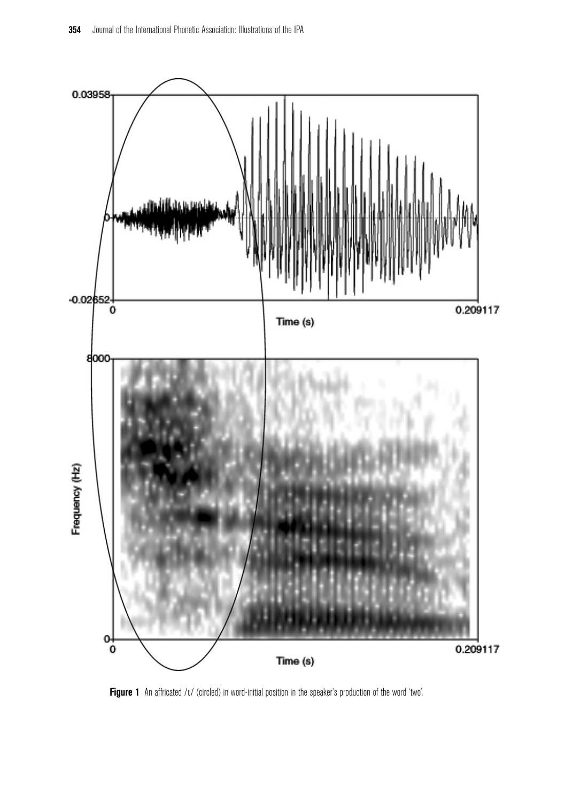

Figure 1 An affricated /t/ (circled) in word-initial position in the speaker's production of the word 'two'.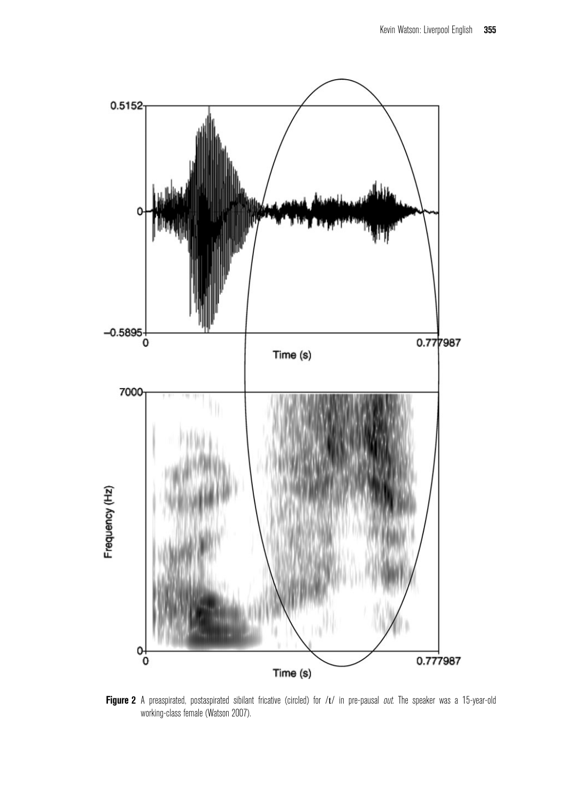

Figure 2 A preaspirated, postaspirated sibilant fricative (circled) for /t/ in pre-pausal *out*. The speaker was a 15-year-old working-class female (Watson 2007).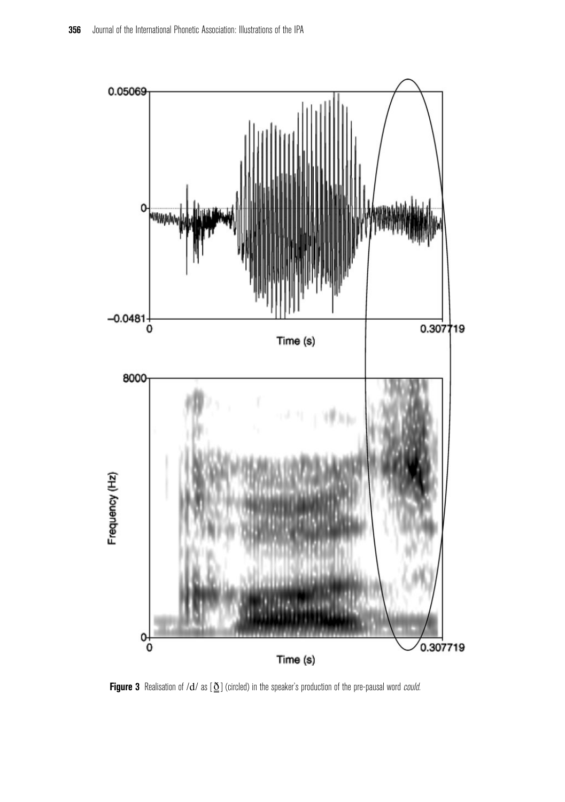

Figure 3 Realisation of /d/ as  $[\underline{\delta}]$  (circled) in the speaker's production of the pre-pausal word *could*.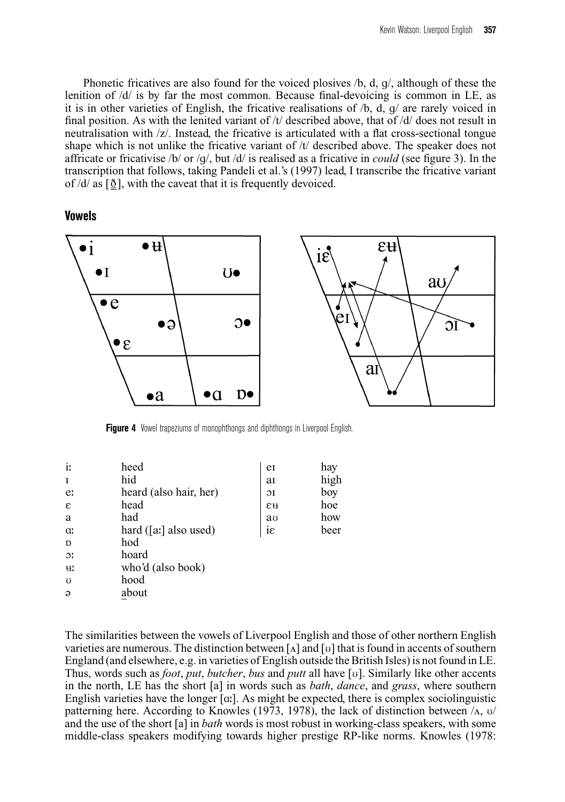Phonetic fricatives are also found for the voiced plosives /b, d, g/, although of these the lenition of /d/ is by far the most common. Because final-devoicing is common in LE, as it is in other varieties of English, the fricative realisations of  $/b$ , d, q/ are rarely voiced in final position. As with the lenited variant of /t/ described above, that of /d/ does not result in neutralisation with /z/. Instead, the fricative is articulated with a flat cross-sectional tongue shape which is not unlike the fricative variant of  $/t/$  described above. The speaker does not affricate or fricativise /b/ or /g/, but /d/ is realised as a fricative in *could* (see figure 3). In the transcription that follows, taking Pandeli et al.'s (1997) lead, I transcribe the fricative variant of  $\frac{d}{dx}$  as  $\left[\frac{\delta}{dx}\right]$ , with the caveat that it is frequently devoiced.

**Vowels**



**Figure 4** Vowel trapeziums of monophthongs and diphthongs in Liverpool English.

| $\mathbf{i}$   | heed                   | e               | hay  |
|----------------|------------------------|-----------------|------|
| I              | hid                    | aI              | high |
| e:             | heard (also hair, her) | $\overline{O}I$ | boy  |
| ε              | head                   | εu              | hoe  |
| a              | had                    | au              | how  |
| <b>a</b>       | hard ([a:] also used)  | iε              | beer |
| $\mathbf{D}$   | hod                    |                 |      |
| $\mathfrak{D}$ | hoard                  |                 |      |
| HI.            | who'd (also book)      |                 |      |
| $\sigma$       | hood                   |                 |      |
| $\Theta$       | about                  |                 |      |
|                |                        |                 |      |

The similarities between the vowels of Liverpool English and those of other northern English varieties are numerous. The distinction between  $\lceil \Lambda \rceil$  and  $\lceil \nu \rceil$  that is found in accents of southern England (and elsewhere, e.g. in varieties of English outside the British Isles) is not found in LE. Thus, words such as *foot*, *put*, *butcher*, *bus* and *putt* all have [v]. Similarly like other accents in the north, LE has the short [a] in words such as *bath*, *dance*, and *grass*, where southern English varieties have the longer [a:]. As might be expected, there is complex sociolinguistic patterning here. According to Knowles (1973, 1978), the lack of distinction between  $\Lambda$ ,  $\upsilon$ and the use of the short [a] in *bath* words is most robust in working-class speakers, with some middle-class speakers modifying towards higher prestige RP-like norms. Knowles (1978: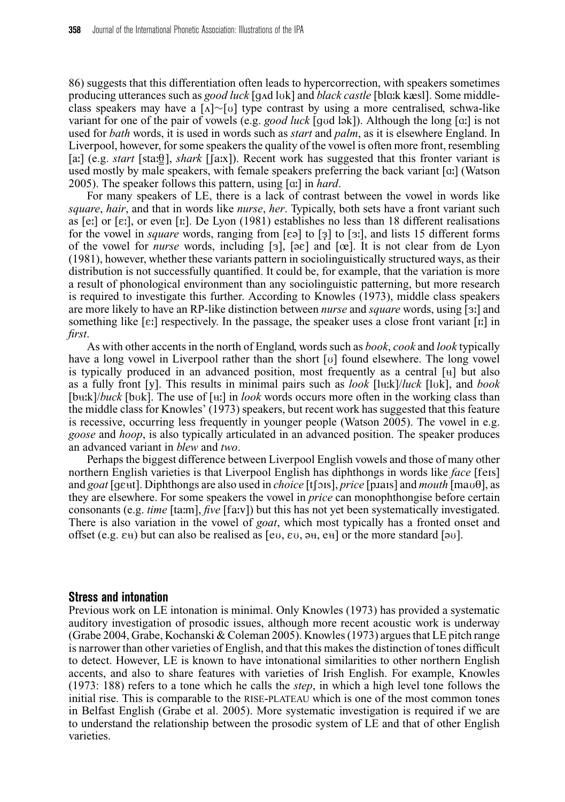86) suggests that this differentiation often leads to hypercorrection, with speakers sometimes producing utterances such as *good luck* [q $\Delta$ d luk] and *black castle* [bla:k kæsl]. Some middleclass speakers may have a [∧]∼[∪] type contrast by using a more centralised, schwa-like variant for one of the pair of vowels (e.g. *good luck* [god lak]). Although the long [a:] is not used for *bath* words, it is used in words such as *start* and *palm*, as it is elsewhere England. In Liverpool, however, for some speakers the quality of the vowel is often more front, resembling [a:] (e.g. *start* [sta: $\theta$ ], *shark* [[a:x]). Recent work has suggested that this fronter variant is used mostly by male speakers, with female speakers preferring the back variant [a**:**] (Watson 2005). The speaker follows this pattern, using [A**…**] in *hard*.

For many speakers of LE, there is a lack of contrast between the vowel in words like *square*, *hair*, and that in words like *nurse*, *her*. Typically, both sets have a front variant such as [e**…**] or [E**…**], or even [I**…**]. De Lyon (1981) establishes no less than 18 different realisations for the vowel in *square* words, ranging from [ca] to [3] to [3], and lists 15 different forms of the vowel for *nurse* words, including [3],  $[\infty]$  and  $[\infty]$ . It is not clear from de Lyon (1981), however, whether these variants pattern in sociolinguistically structured ways, as their distribution is not successfully quantified. It could be, for example, that the variation is more a result of phonological environment than any sociolinguistic patterning, but more research is required to investigate this further. According to Knowles (1973), middle class speakers are more likely to have an RP-like distinction between *nurse* and *square* words, using [3:] and something like  $[\epsilon]$  respectively. In the passage, the speaker uses a close front variant  $[\iota]$  in *first*.

As with other accents in the north of England, words such as *book*, *cook* and *look* typically have a long vowel in Liverpool rather than the short  $[v]$  found elsewhere. The long vowel is typically produced in an advanced position, most frequently as a central  $\lceil \frac{1}{2} \rceil$  but also as a fully front [y]. This results in minimal pairs such as *look* [luk]/*luck* [lvk], and *book*  $[bu: k]/buck$  [buk]. The use of [ $u:$ ] in *look* words occurs more often in the working class than the middle class for Knowles' (1973) speakers, but recent work has suggested that this feature is recessive, occurring less frequently in younger people (Watson 2005). The vowel in e.g. *goose* and *hoop*, is also typically articulated in an advanced position. The speaker produces an advanced variant in *blew* and *two*.

Perhaps the biggest difference between Liverpool English vowels and those of many other northern English varieties is that Liverpool English has diphthongs in words like *face* [feis] and *goat* [geut]. Diphthongs are also used in *choice* [t[ois], *price* [piais] and *mouth* [mau0], as they are elsewhere. For some speakers the vowel in *price* can monophthongise before certain consonants (e.g. *time* [ta**…**m], *five* [fa**…**v]) but this has not yet been systematically investigated. There is also variation in the vowel of *goat*, which most typically has a fronted onset and offset (e.g.  $\varepsilon$ u) but can also be realised as  $[\varepsilon \omega, \varepsilon \omega, \partial u, \varepsilon \omega]$  or the more standard  $[\partial \omega]$ .

#### **Stress and intonation**

Previous work on LE intonation is minimal. Only Knowles (1973) has provided a systematic auditory investigation of prosodic issues, although more recent acoustic work is underway (Grabe 2004, Grabe, Kochanski & Coleman 2005). Knowles (1973) argues that LE pitch range is narrower than other varieties of English, and that this makes the distinction of tones difficult to detect. However, LE is known to have intonational similarities to other northern English accents, and also to share features with varieties of Irish English. For example, Knowles (1973: 188) refers to a tone which he calls the *step*, in which a high level tone follows the initial rise. This is comparable to the RISE-PLATEAU which is one of the most common tones in Belfast English (Grabe et al. 2005). More systematic investigation is required if we are to understand the relationship between the prosodic system of LE and that of other English varieties.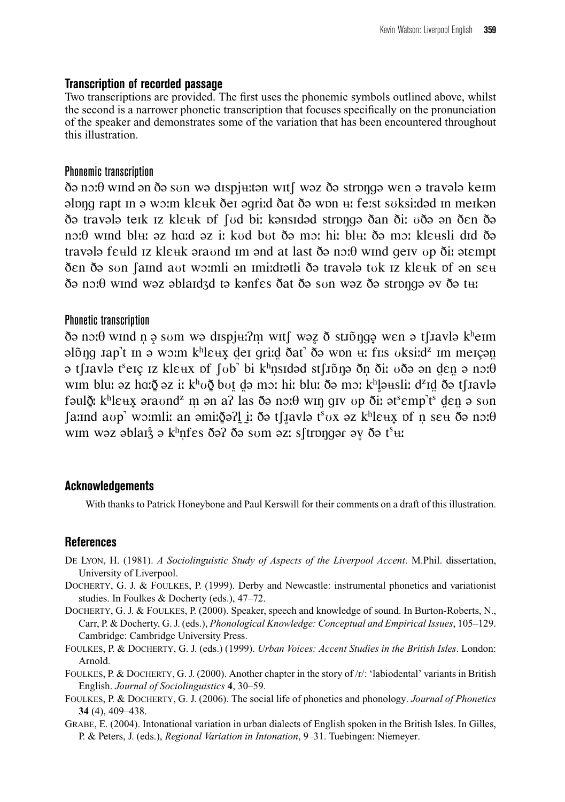#### **Transcription of recorded passage**

Two transcriptions are provided. The first uses the phonemic symbols outlined above, whilst the second is a narrower phonetic transcription that focuses specifically on the pronunciation of the speaker and demonstrates some of the variation that has been encountered throughout this illustration.

#### Phonemic transcription

 $\delta$  a no*i* θ wind an  $\delta$  a sun wa dispjuttan wit [ waz  $\delta$  a strong a wen a traval a keim  $\alpha$ <sub>n</sub> plong rapt in  $\alpha$  wom kleuk dei agriid dat d $\alpha$  won  $\alpha$ : feist suksified in meikan ðə travələ teik iz kleuk pf fud bii kənsidəd strongə ðan ði: uðə ən ðen ðə noːθ wind blʉː əz haːd əz iː kʊd bʊt ðə mɔː hiː blʉː ðə mɔː klɛʉsli dɪd ðə travala feuld iz kleuk araund im and at last ða no:0 wind geiv up ði: atempt ðen ðə sun faind aut woimli ən imiidiətli ðə travələ tuk iz kle<del>u</del>k pf ən se<del>u</del>  $\delta$ <sub>2</sub> no*i*θ wind waz ablaidzd ta kanfes δat δa sun waz δa stronga av δa t<del>u</del>:

#### Phonetic transcription

 $\delta$  a no*i* θ wind n a sum wa dispj $\mu$ ?m wit [ waz  $\delta$  sti $\delta$  nga wen a t [ i avla k<sup>h</sup>eim  $\alpha$ <sub>1</sub>) alõng  $\alpha$ ap<sup>t</sup> in  $\alpha$  wo $\alpha$ m k<sup>h</sup>le $\alpha$ <sub>x</sub> dei griid dat' d $\alpha$  won  $\alpha$ ; fins uksiid<sup>z</sup> im meiçant ə t∫1avlə t<sup>s</sup>eıç ız klɛʉx ɒf ∫ʊb' bi kʰnsıdəd st∫ıp̃ŋə ðn̩ ðiː ʊðə ən d̪ɛn̪ ə nɔːθ  $w$ ım blu: əz hɑ:ðੂ əz iː kʰʊðੂ bʊt̪ d̪ə mɔ: hiː blu: ðə mɔ: kʰļ̯əʉsli: d²ɪd̪ ðə tʃɹavlə fəulðૄ: kʰlɛʉx̞ əraʊnd<sup>z</sup> ṃ ən aʔ las ðə nɔːθ wɪŋ gɪv ʊp ðiː ət<sup>s</sup>ɛmp<sup>٦</sup>tˤ</sup> d̪ɛn̪ ə sʊn  $\int$ aːınd aʊp' wɔːmliː an əmiːð̪əʔl̯ i̯ː ðə tʃ. $\int$ avlə t $^{\circ}$ ʊx əz kʰlɛʉx̣ ɒf n̩ sɛʉ ðə nɔːθ wim wəz əblar $\zeta$  ə k<sup>h</sup>ņfes ðə? ðə sum əz: s∫trɒŋgər əy ðə t $^{\rm s}$ <del>u</del>:

### **Acknowledgements**

With thanks to Patrick Honeybone and Paul Kerswill for their comments on a draft of this illustration.

### **References**

- DE LYON, H. (1981). *A Sociolinguistic Study of Aspects of the Liverpool Accent*. M.Phil. dissertation, University of Liverpool.
- DOCHERTY, G. J. & FOULKES, P. (1999). Derby and Newcastle: instrumental phonetics and variationist studies. In Foulkes & Docherty (eds.), 47–72.
- DOCHERTY, G. J. & FOULKES, P. (2000). Speaker, speech and knowledge of sound. In Burton-Roberts, N., Carr, P. & Docherty, G. J. (eds.), *Phonological Knowledge: Conceptual and Empirical Issues*, 105–129. Cambridge: Cambridge University Press.
- FOULKES, P. & DOCHERTY, G. J. (eds.) (1999). *Urban Voices: Accent Studies in the British Isles*. London: Arnold.
- FOULKES, P. & DOCHERTY, G. J. (2000). Another chapter in the story of /r/: 'labiodental' variants in British English. *Journal of Sociolinguistics* **4**, 30–59.
- FOULKES, P. & DOCHERTY, G. J. (2006). The social life of phonetics and phonology. *Journal of Phonetics* **34** (4), 409–438.
- GRABE, E. (2004). Intonational variation in urban dialects of English spoken in the British Isles. In Gilles, P. & Peters, J. (eds.), *Regional Variation in Intonation*, 9–31. Tuebingen: Niemeyer.